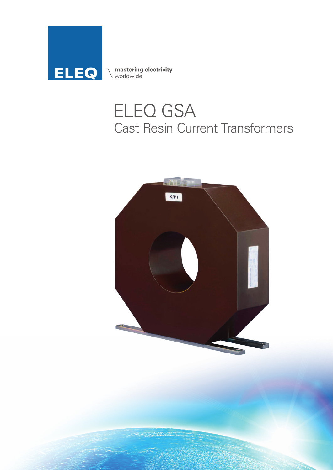

**mastering electricity**<br>
worldwide

## ELEQ GSA Cast Resin Current Transformers

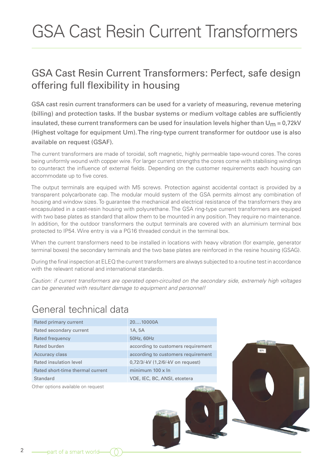# GSA Cast Resin Current Transformers

#### GSA Cast Resin Current Transformers: Perfect, safe design offering full flexibility in housing

GSA cast resin current transformers can be used for a variety of measuring, revenue metering (billing) and protection tasks. If the busbar systems or medium voltage cables are sufficiently insulated, these current transformers can be used for insulation levels higher than  $U_m = 0.72$ kV (Highest voltage for equipment Um). The ring-type current transformer for outdoor use is also available on request (GSAF).

The current transformers are made of toroidal, soft magnetic, highly permeable tape-wound cores. The cores being uniformly wound with copper wire. For larger current strengths the cores come with stabilising windings to counteract the influence of external fields. Depending on the customer requirements each housing can accommodate up to five cores.

The output terminals are equiped with M5 screws. Protection against accidental contact is provided by a transparent polycarbonate cap. The modular mould system of the GSA permits almost any combination of housing and window sizes. To guarantee the mechanical and electrical resistance of the transformers they are encapsulated in a cast-resin housing with polyurethane. The GSA ring-type current transformers are equiped with two base plates as standard that allow them to be mounted in any position. They require no maintenance. In addition, for the outdoor transformers the output terminals are covered with an aluminium terminal box protected to IP54. Wire entry is via a PG16 threaded conduit in the terminal box.

When the current transformers need to be installed in locations with heavy vibration (for example, generator terminal boxes) the secondary terminals and the two base plates are reinforced in the resine housing (GSAG).

During the final inspection at ELEQ the current transformers are always subjected to a routine test in accordance with the relevant national and international standards.

*Caution: if current transformers are operated open-circuited on the secondary side, extremely high voltages can be generated with resultant damage to equipment and personnel!*

#### General technical data

| Rated primary current              | 2010000A                           |      |
|------------------------------------|------------------------------------|------|
| Rated secondary current            | 1A, 5A                             |      |
| Rated frequency                    | 50Hz, 60Hz                         |      |
| Rated burden                       | according to customers requirement |      |
| <b>Accuracy class</b>              | according to customers requirement | K/P1 |
| Rated insulation level             | 0,72/3/-kV (1,2/6/-kV on request)  |      |
| Rated short-time thermal current   | minimum $100 \times \ln$           |      |
| Standard                           | VDE, IEC, BC, ANSI, etcetera       |      |
| Other options available on request |                                    |      |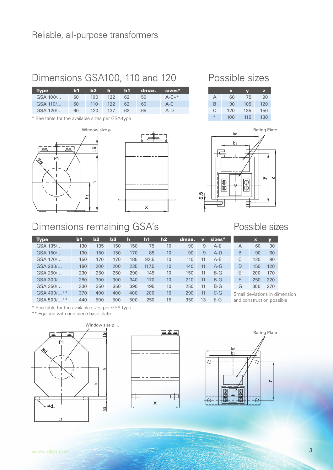### Dimensions GSA100, 110 and 120 Possible sizes

| <b>Type</b> | 151 | $\mathbf{b2}$ | 40 T    | h1  |    | dmax. sizes* |
|-------------|-----|---------------|---------|-----|----|--------------|
| GSA 100/    | 60  | 100           | 122     | 62. | 50 | $A-C+$ *     |
| GSA 110/    | 60  |               | 110 122 | 62  | 60 | $A-C$        |
| GSA 120/    | 60  | 120           | 137     | 62  | 65 | $A-D$        |

\* See table for the available sizes per GSA-type





|               | $\mathbf x$ | V   | z   |
|---------------|-------------|-----|-----|
| А             | 60          | 75  | 90  |
| B             | 90          | 105 | 120 |
| C             | 120         | 135 | 150 |
| $\frac{1}{2}$ | 100         | 115 | 130 |



#### Dimensions remaining GSA's

| <b>Type</b>       | $\mathbf{b}$ | b2  | b3  | Ih  | h1    | h2              | dmax. | $\mathbf v$ | $sizes*$ |                           | $\mathbf x$                   | V   |
|-------------------|--------------|-----|-----|-----|-------|-----------------|-------|-------------|----------|---------------------------|-------------------------------|-----|
| GSA 135/          | 130          | 135 | 150 | 150 | 75    | 10              | 90    | 9           | A-E      | A                         | 60                            | 30  |
| GSA 150/          | 130          | 150 | 150 | 170 | 85    | 10              | 90    | 9           | $A-D$    | B                         | 90                            | 60  |
| GSA 170/          | 150          | 170 | 170 | 185 | 92.5  | 10              | 110   | 11          | $A-E$    | С                         | 120                           | 90  |
| GSA 200/          | 180          | 200 | 200 | 235 | 117,5 | 10 <sup>°</sup> | 140   | 11          | $A-G$    | D                         | 150                           | 120 |
| GSA 250/          | 230          | 250 | 250 | 290 | 145   | 10              | 150   | 11          | $B-G$    | E                         | 200                           | 170 |
| GSA 300/          | 280          | 300 | 300 | 340 | 170   | 10              | 210   | 11          | $B-G$    | F                         | 250                           | 220 |
| GSA 350/          | 330          | 350 | 350 | 390 | 195   | 10              | 250   | 11          | $B-G$    | G                         | 300                           | 270 |
| GSA 400/**        | 370          | 400 | 400 | 400 | 200   | 10              | 290   | 11          | $C-G$    |                           | Small deviations in dimension |     |
| GSA 500/<br>$* *$ | 440          | 500 | 500 | 500 | 250   | 15              | 350   | 13          | $E-G$    | and construction possible |                               |     |

\* See table for the available sizes per GSA-type

\*\* Equiped with one-piece base plate







 $\triangleright$ 

Possible sizes